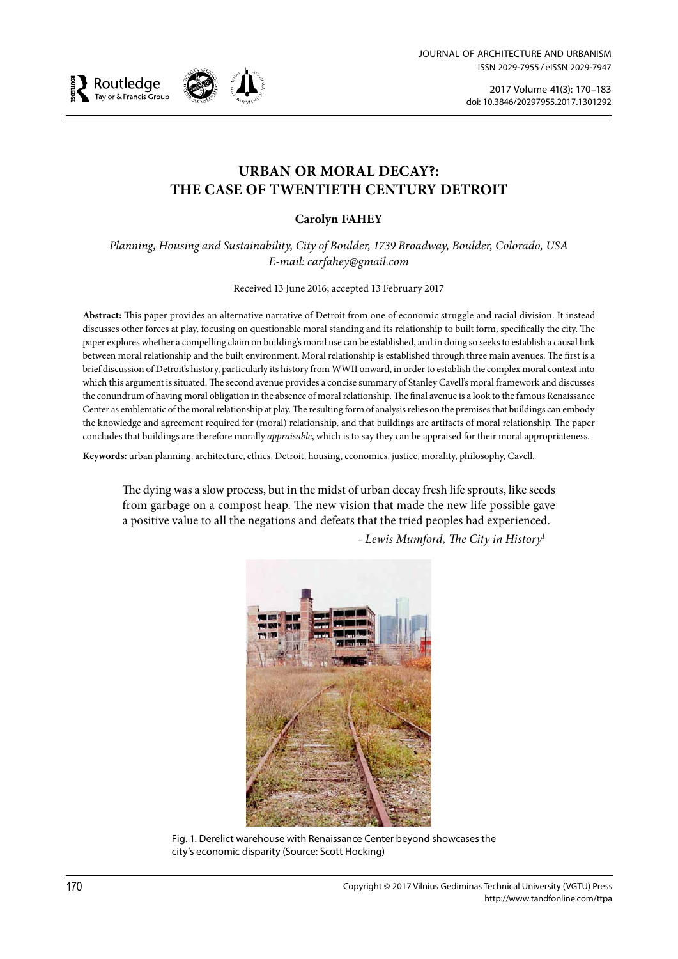

2017 Volume 41(3): 170–183 [doi: 10.3846/20297955.2017.1301292](https://doi.org/10.3846/20297955.2017.1301292)

# **URBAN OR MORAL DECAY?: THE CASE OF TWENTIETH CENTURY DETROIT**

## **Carolyn FAHEY**

*Planning, Housing and Sustainability, City of Boulder, 1739 Broadway, Boulder, Colorado, USA E-mail: carfahey@gmail.com*

Received 13 June 2016; accepted 13 February 2017

**Abstract:** This paper provides an alternative narrative of Detroit from one of economic struggle and racial division. It instead discusses other forces at play, focusing on questionable moral standing and its relationship to built form, specifically the city. The paper explores whether a compelling claim on building's moral use can be established, and in doing so seeks to establish a causal link between moral relationship and the built environment. Moral relationship is established through three main avenues. The first is a brief discussion of Detroit's history, particularly its history from WWII onward, in order to establish the complex moral context into which this argument is situated. The second avenue provides a concise summary of Stanley Cavell's moral framework and discusses the conundrum of having moral obligation in the absence of moral relationship. The final avenue is a look to the famous Renaissance Center as emblematic of the moral relationship at play. The resulting form of analysis relies on the premises that buildings can embody the knowledge and agreement required for (moral) relationship, and that buildings are artifacts of moral relationship. The paper concludes that buildings are therefore morally *appraisable*, which is to say they can be appraised for their moral appropriateness.

**Keywords:** urban planning, architecture, ethics, Detroit, housing, economics, justice, morality, philosophy, Cavell.

The dying was a slow process, but in the midst of urban decay fresh life sprouts, like seeds from garbage on a compost heap. The new vision that made the new life possible gave a positive value to all the negations and defeats that the tried peoples had experienced. *- Lewis Mumford, The City in History1*



Fig. 1. Derelict warehouse with Renaissance Center beyond showcases the city's economic disparity (Source: Scott Hocking)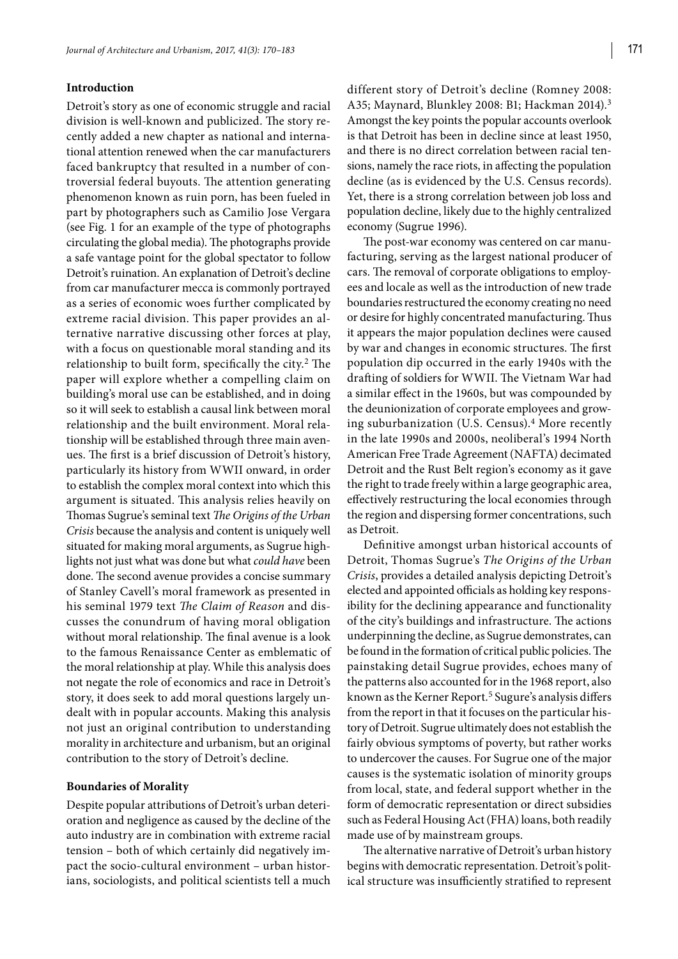## **Introduction**

Detroit's story as one of economic struggle and racial division is well-known and publicized. The story recently added a new chapter as national and international attention renewed when the car manufacturers faced bankruptcy that resulted in a number of controversial federal buyouts. The attention generating phenomenon known as ruin porn, has been fueled in part by photographers such as Camilio Jose Vergara (see Fig. 1 for an example of the type of photographs circulating the global media). The photographs provide a safe vantage point for the global spectator to follow Detroit's ruination. An explanation of Detroit's decline from car manufacturer mecca is commonly portrayed as a series of economic woes further complicated by extreme racial division. This paper provides an alternative narrative discussing other forces at play, with a focus on questionable moral standing and its relationship to built form, specifically the city.<sup>2</sup> The paper will explore whether a compelling claim on building's moral use can be established, and in doing so it will seek to establish a causal link between moral relationship and the built environment. Moral relationship will be established through three main avenues. The first is a brief discussion of Detroit's history, particularly its history from WWII onward, in order to establish the complex moral context into which this argument is situated. This analysis relies heavily on Thomas Sugrue's seminal text *The Origins of the Urban Crisis* because the analysis and content is uniquely well situated for making moral arguments, as Sugrue highlights not just what was done but what *could have* been done. The second avenue provides a concise summary of Stanley Cavell's moral framework as presented in his seminal 1979 text *The Claim of Reason* and discusses the conundrum of having moral obligation without moral relationship. The final avenue is a look to the famous Renaissance Center as emblematic of the moral relationship at play. While this analysis does not negate the role of economics and race in Detroit's story, it does seek to add moral questions largely undealt with in popular accounts. Making this analysis not just an original contribution to understanding morality in architecture and urbanism, but an original contribution to the story of Detroit's decline.

## **Boundaries of Morality**

Despite popular attributions of Detroit's urban deterioration and negligence as caused by the decline of the auto industry are in combination with extreme racial tension – both of which certainly did negatively impact the socio-cultural environment – urban historians, sociologists, and political scientists tell a much

different story of Detroit's decline (Romney 2008: A35; Maynard, Blunkley 2008: B1; Hackman 2014).3 Amongst the key points the popular accounts overlook is that Detroit has been in decline since at least 1950, and there is no direct correlation between racial tensions, namely the race riots, in affecting the population decline (as is evidenced by the U.S. Census records). Yet, there is a strong correlation between job loss and population decline, likely due to the highly centralized economy (Sugrue 1996).

The post-war economy was centered on car manufacturing, serving as the largest national producer of cars. The removal of corporate obligations to employees and locale as well as the introduction of new trade boundaries restructured the economy creating no need or desire for highly concentrated manufacturing. Thus it appears the major population declines were caused by war and changes in economic structures. The first population dip occurred in the early 1940s with the drafting of soldiers for WWII. The Vietnam War had a similar effect in the 1960s, but was compounded by the deunionization of corporate employees and growing suburbanization (U.S. Census).4 More recently in the late 1990s and 2000s, neoliberal's 1994 North American Free Trade Agreement (NAFTA) decimated Detroit and the Rust Belt region's economy as it gave the right to trade freely within a large geographic area, effectively restructuring the local economies through the region and dispersing former concentrations, such as Detroit.

Definitive amongst urban historical accounts of Detroit, Thomas Sugrue's *The Origins of the Urban Crisis*, provides a detailed analysis depicting Detroit's elected and appointed officials as holding key responsibility for the declining appearance and functionality of the city's buildings and infrastructure. The actions underpinning the decline, as Sugrue demonstrates, can be found in the formation of critical public policies. The painstaking detail Sugrue provides, echoes many of the patterns also accounted for in the 1968 report, also known as the Kerner Report.<sup>5</sup> Sugure's analysis differs from the report in that it focuses on the particular history of Detroit. Sugrue ultimately does not establish the fairly obvious symptoms of poverty, but rather works to undercover the causes. For Sugrue one of the major causes is the systematic isolation of minority groups from local, state, and federal support whether in the form of democratic representation or direct subsidies such as Federal Housing Act (FHA) loans, both readily made use of by mainstream groups.

The alternative narrative of Detroit's urban history begins with democratic representation. Detroit's political structure was insufficiently stratified to represent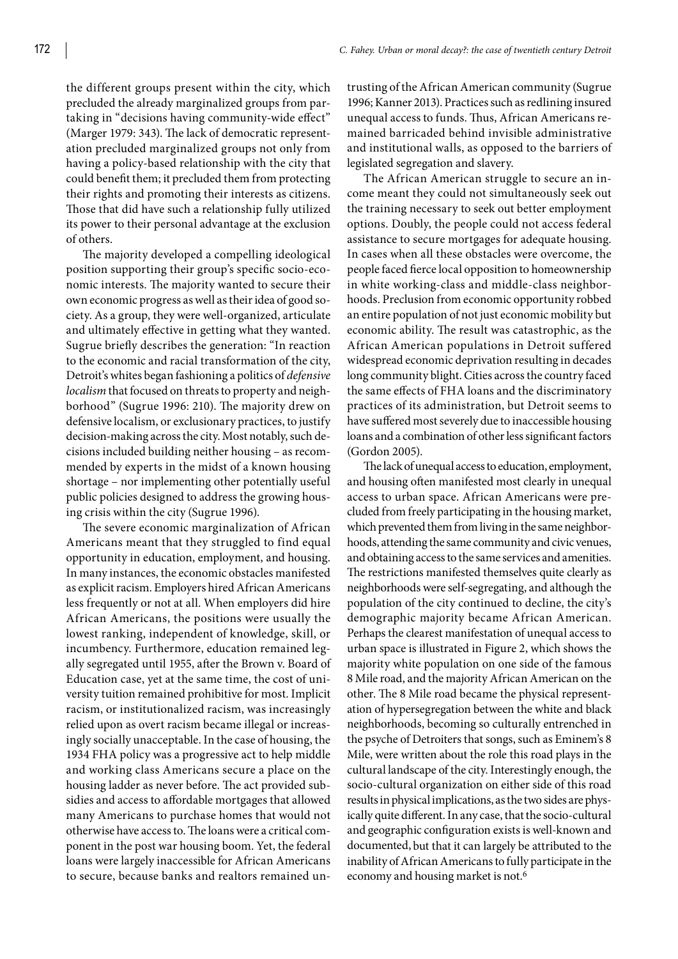the different groups present within the city, which precluded the already marginalized groups from partaking in "decisions having community-wide effect" (Marger 1979: 343). The lack of democratic representation precluded marginalized groups not only from having a policy-based relationship with the city that could benefit them; it precluded them from protecting their rights and promoting their interests as citizens. Those that did have such a relationship fully utilized its power to their personal advantage at the exclusion of others.

The majority developed a compelling ideological position supporting their group's specific socio-economic interests. The majority wanted to secure their own economic progress as well as their idea of good society. As a group, they were well-organized, articulate and ultimately effective in getting what they wanted. Sugrue briefly describes the generation: "In reaction to the economic and racial transformation of the city, Detroit's whites began fashioning a politics of *defensive localism* that focused on threats to property and neighborhood" (Sugrue 1996: 210). The majority drew on defensive localism, or exclusionary practices, to justify decision-making across the city. Most notably, such decisions included building neither housing – as recommended by experts in the midst of a known housing shortage – nor implementing other potentially useful public policies designed to address the growing housing crisis within the city (Sugrue 1996).

The severe economic marginalization of African Americans meant that they struggled to find equal opportunity in education, employment, and housing. In many instances, the economic obstacles manifested as explicit racism. Employers hired African Americans less frequently or not at all. When employers did hire African Americans, the positions were usually the lowest ranking, independent of knowledge, skill, or incumbency. Furthermore, education remained legally segregated until 1955, after the Brown v. Board of Education case, yet at the same time, the cost of university tuition remained prohibitive for most. Implicit racism, or institutionalized racism, was increasingly relied upon as overt racism became illegal or increasingly socially unacceptable. In the case of housing, the 1934 FHA policy was a progressive act to help middle and working class Americans secure a place on the housing ladder as never before. The act provided subsidies and access to affordable mortgages that allowed many Americans to purchase homes that would not otherwise have access to. The loans were a critical component in the post war housing boom. Yet, the federal loans were largely inaccessible for African Americans to secure, because banks and realtors remained untrusting of the African American community (Sugrue 1996; Kanner 2013). Practices such as redlining insured unequal access to funds. Thus, African Americans remained barricaded behind invisible administrative and institutional walls, as opposed to the barriers of legislated segregation and slavery.

The African American struggle to secure an income meant they could not simultaneously seek out the training necessary to seek out better employment options. Doubly, the people could not access federal assistance to secure mortgages for adequate housing. In cases when all these obstacles were overcome, the people faced fierce local opposition to homeownership in white working-class and middle-class neighborhoods. Preclusion from economic opportunity robbed an entire population of not just economic mobility but economic ability. The result was catastrophic, as the African American populations in Detroit suffered widespread economic deprivation resulting in decades long community blight. Cities across the country faced the same effects of FHA loans and the discriminatory practices of its administration, but Detroit seems to have suffered most severely due to inaccessible housing loans and a combination of other less significant factors (Gordon 2005).

The lack of unequal access to education, employment, and housing often manifested most clearly in unequal access to urban space. African Americans were precluded from freely participating in the housing market, which prevented them from living in the same neighborhoods, attending the same community and civic venues, and obtaining access to the same services and amenities. The restrictions manifested themselves quite clearly as neighborhoods were self-segregating, and although the population of the city continued to decline, the city's demographic majority became African American. Perhaps the clearest manifestation of unequal access to urban space is illustrated in Figure 2, which shows the majority white population on one side of the famous 8 Mile road, and the majority African American on the other. The 8 Mile road became the physical representation of hypersegregation between the white and black neighborhoods, becoming so culturally entrenched in the psyche of Detroiters that songs, such as Eminem's 8 Mile, were written about the role this road plays in the cultural landscape of the city. Interestingly enough, the socio-cultural organization on either side of this road results in physical implications, as the two sides are physically quite different. In any case, that the socio-cultural and geographic configuration exists is well-known and documented, but that it can largely be attributed to the inability of African Americans to fully participate in the economy and housing market is not.6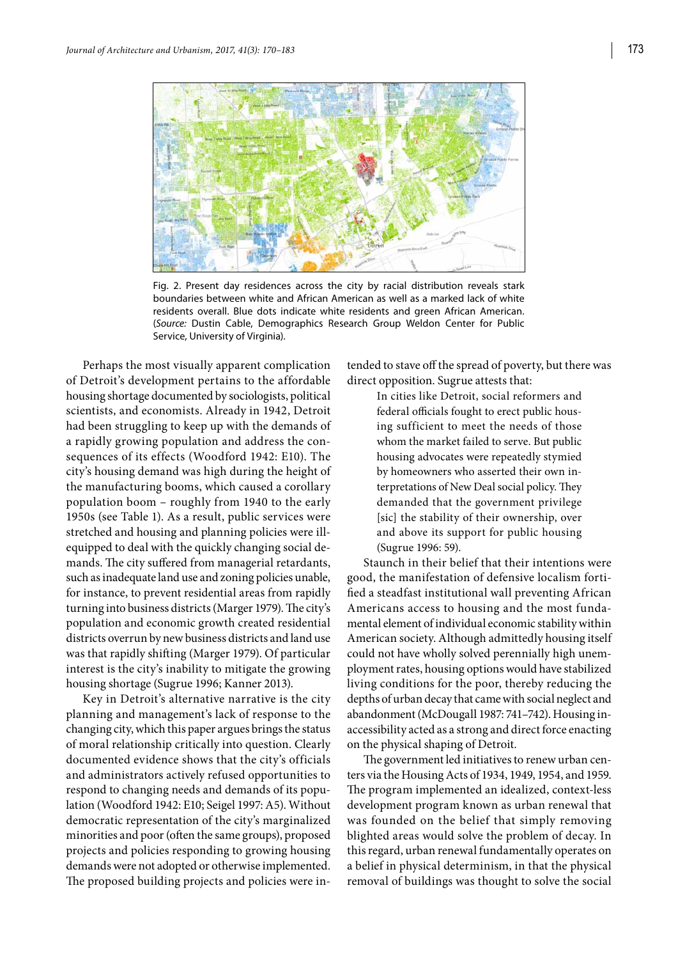

Fig. 2. Present day residences across the city by racial distribution reveals stark boundaries between white and African American as well as a marked lack of white residents overall. Blue dots indicate white residents and green African American. (*Source:* Dustin Cable, Demographics Research Group Weldon Center for Public Service, University of Virginia).

Perhaps the most visually apparent complication of Detroit's development pertains to the affordable housing shortage documented by sociologists, political scientists, and economists. Already in 1942, Detroit had been struggling to keep up with the demands of a rapidly growing population and address the consequences of its effects (Woodford 1942: E10). The city's housing demand was high during the height of the manufacturing booms, which caused a corollary population boom – roughly from 1940 to the early 1950s (see Table 1). As a result, public services were stretched and housing and planning policies were illequipped to deal with the quickly changing social demands. The city suffered from managerial retardants, such as inadequate land use and zoning policies unable, for instance, to prevent residential areas from rapidly turning into business districts (Marger 1979). The city's population and economic growth created residential districts overrun by new business districts and land use was that rapidly shifting (Marger 1979). Of particular interest is the city's inability to mitigate the growing housing shortage (Sugrue 1996; Kanner 2013).

Key in Detroit's alternative narrative is the city planning and management's lack of response to the changing city, which this paper argues brings the status of moral relationship critically into question. Clearly documented evidence shows that the city's officials and administrators actively refused opportunities to respond to changing needs and demands of its population (Woodford 1942: E10; Seigel 1997: A5). Without democratic representation of the city's marginalized minorities and poor (often the same groups), proposed projects and policies responding to growing housing demands were not adopted or otherwise implemented. The proposed building projects and policies were in-

tended to stave off the spread of poverty, but there was direct opposition. Sugrue attests that:

> In cities like Detroit, social reformers and federal officials fought to erect public housing sufficient to meet the needs of those whom the market failed to serve. But public housing advocates were repeatedly stymied by homeowners who asserted their own interpretations of New Deal social policy. They demanded that the government privilege [sic] the stability of their ownership, over and above its support for public housing (Sugrue 1996: 59).

Staunch in their belief that their intentions were good, the manifestation of defensive localism fortified a steadfast institutional wall preventing African Americans access to housing and the most fundamental element of individual economic stability within American society. Although admittedly housing itself could not have wholly solved perennially high unemployment rates, housing options would have stabilized living conditions for the poor, thereby reducing the depths of urban decay that came with social neglect and abandonment (McDougall 1987: 741–742). Housing inaccessibility acted as a strong and direct force enacting on the physical shaping of Detroit.

The government led initiatives to renew urban centers via the Housing Acts of 1934, 1949, 1954, and 1959. The program implemented an idealized, context-less development program known as urban renewal that was founded on the belief that simply removing blighted areas would solve the problem of decay. In this regard, urban renewal fundamentally operates on a belief in physical determinism, in that the physical removal of buildings was thought to solve the social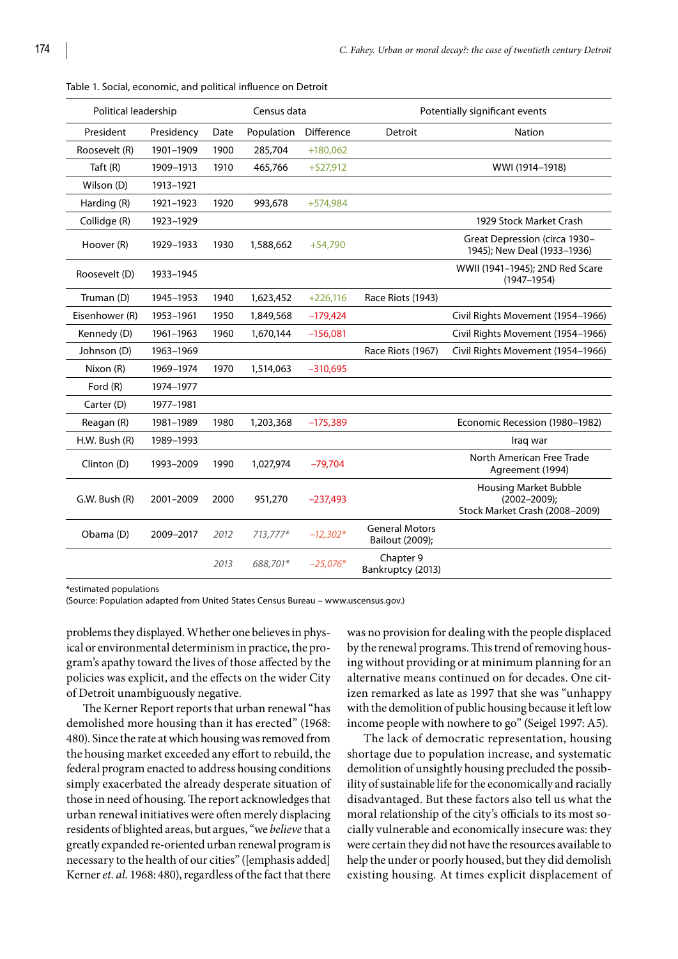| Political leadership |            | Census data |            |            | Potentially significant events           |                                                                                   |
|----------------------|------------|-------------|------------|------------|------------------------------------------|-----------------------------------------------------------------------------------|
| President            | Presidency | Date        | Population | Difference | Detroit                                  | <b>Nation</b>                                                                     |
| Roosevelt (R)        | 1901-1909  | 1900        | 285,704    | $+180,062$ |                                          |                                                                                   |
| Taft $(R)$           | 1909-1913  | 1910        | 465,766    | $+527,912$ |                                          | WWI (1914-1918)                                                                   |
| Wilson (D)           | 1913-1921  |             |            |            |                                          |                                                                                   |
| Harding (R)          | 1921-1923  | 1920        | 993,678    | $+574,984$ |                                          |                                                                                   |
| Collidge (R)         | 1923-1929  |             |            |            |                                          | 1929 Stock Market Crash                                                           |
| Hoover (R)           | 1929-1933  | 1930        | 1,588,662  | $+54,790$  |                                          | Great Depression (circa 1930-<br>1945): New Deal (1933-1936)                      |
| Roosevelt (D)        | 1933-1945  |             |            |            |                                          | WWII (1941-1945); 2ND Red Scare<br>$(1947 - 1954)$                                |
| Truman (D)           | 1945-1953  | 1940        | 1,623,452  | $+226,116$ | Race Riots (1943)                        |                                                                                   |
| Eisenhower (R)       | 1953-1961  | 1950        | 1,849,568  | $-179,424$ |                                          | Civil Rights Movement (1954-1966)                                                 |
| Kennedy (D)          | 1961-1963  | 1960        | 1,670,144  | $-156,081$ |                                          | Civil Rights Movement (1954-1966)                                                 |
| Johnson (D)          | 1963-1969  |             |            |            | Race Riots (1967)                        | Civil Rights Movement (1954-1966)                                                 |
| Nixon (R)            | 1969-1974  | 1970        | 1,514,063  | $-310,695$ |                                          |                                                                                   |
| Ford (R)             | 1974-1977  |             |            |            |                                          |                                                                                   |
| Carter (D)           | 1977-1981  |             |            |            |                                          |                                                                                   |
| Reagan (R)           | 1981-1989  | 1980        | 1,203,368  | $-175,389$ |                                          | Economic Recession (1980-1982)                                                    |
| H.W. Bush (R)        | 1989-1993  |             |            |            |                                          | Iraq war                                                                          |
| Clinton (D)          | 1993-2009  | 1990        | 1,027,974  | $-79,704$  |                                          | North American Free Trade<br>Agreement (1994)                                     |
| G.W. Bush (R)        | 2001-2009  | 2000        | 951,270    | $-237,493$ |                                          | <b>Housing Market Bubble</b><br>$(2002 - 2009)$<br>Stock Market Crash (2008-2009) |
| Obama (D)            | 2009-2017  | 2012        | $713,777*$ | $-12,302*$ | <b>General Motors</b><br>Bailout (2009); |                                                                                   |
|                      |            | 2013        | 688,701*   | $-25,076*$ | Chapter 9<br>Bankruptcy (2013)           |                                                                                   |

Table 1. Social, economic, and political influence on Detroit

\*estimated populations

(Source: Population adapted from United States Census Bureau – www.uscensus.gov.)

problems they displayed. Whether one believes in physical or environmental determinism in practice, the program's apathy toward the lives of those affected by the policies was explicit, and the effects on the wider City of Detroit unambiguously negative.

The Kerner Report reports that urban renewal "has demolished more housing than it has erected" (1968: 480). Since the rate at which housing was removed from the housing market exceeded any effort to rebuild, the federal program enacted to address housing conditions simply exacerbated the already desperate situation of those in need of housing. The report acknowledges that urban renewal initiatives were often merely displacing residents of blighted areas, but argues, "we *believe* that a greatly expanded re-oriented urban renewal program is necessary to the health of our cities" ([emphasis added] Kerner *et. al.* 1968: 480), regardless of the fact that there

was no provision for dealing with the people displaced by the renewal programs. This trend of removing housing without providing or at minimum planning for an alternative means continued on for decades. One citizen remarked as late as 1997 that she was "unhappy with the demolition of public housing because it left low income people with nowhere to go" (Seigel 1997: A5).

The lack of democratic representation, housing shortage due to population increase, and systematic demolition of unsightly housing precluded the possibility of sustainable life for the economically and racially disadvantaged. But these factors also tell us what the moral relationship of the city's officials to its most socially vulnerable and economically insecure was: they were certain they did not have the resources available to help the under or poorly housed, but they did demolish existing housing. At times explicit displacement of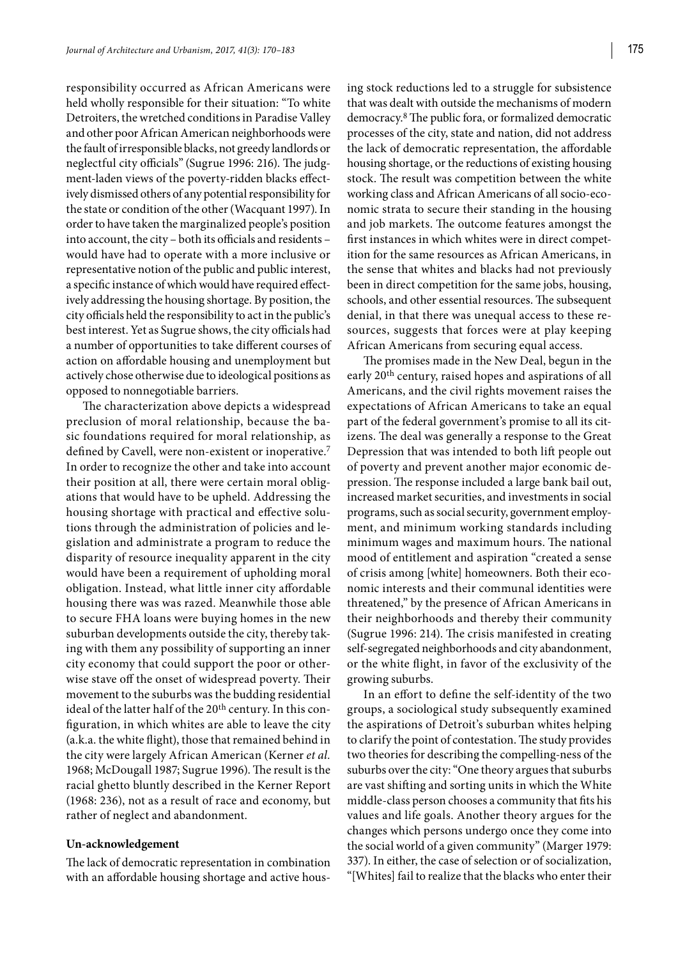responsibility occurred as African Americans were held wholly responsible for their situation: "To white Detroiters, the wretched conditions in Paradise Valley and other poor African American neighborhoods were the fault of irresponsible blacks, not greedy landlords or neglectful city officials" (Sugrue 1996: 216). The judgment-laden views of the poverty-ridden blacks effectively dismissed others of any potential responsibility for the state or condition of the other (Wacquant 1997). In order to have taken the marginalized people's position into account, the city – both its officials and residents – would have had to operate with a more inclusive or representative notion of the public and public interest, a specific instance of which would have required effectively addressing the housing shortage. By position, the city officials held the responsibility to act in the public's best interest. Yet as Sugrue shows, the city officials had a number of opportunities to take different courses of action on affordable housing and unemployment but actively chose otherwise due to ideological positions as opposed to nonnegotiable barriers.

The characterization above depicts a widespread preclusion of moral relationship, because the basic foundations required for moral relationship, as defined by Cavell, were non-existent or inoperative.<sup>7</sup> In order to recognize the other and take into account their position at all, there were certain moral obligations that would have to be upheld. Addressing the housing shortage with practical and effective solutions through the administration of policies and legislation and administrate a program to reduce the disparity of resource inequality apparent in the city would have been a requirement of upholding moral obligation. Instead, what little inner city affordable housing there was was razed. Meanwhile those able to secure FHA loans were buying homes in the new suburban developments outside the city, thereby taking with them any possibility of supporting an inner city economy that could support the poor or otherwise stave off the onset of widespread poverty. Their movement to the suburbs was the budding residential ideal of the latter half of the 20<sup>th</sup> century. In this configuration, in which whites are able to leave the city (a.k.a. the white flight), those that remained behind in the city were largely African American (Kerner *et al.*  1968; McDougall 1987; Sugrue 1996). The result is the racial ghetto bluntly described in the Kerner Report (1968: 236), not as a result of race and economy, but rather of neglect and abandonment.

## **Un-acknowledgement**

The lack of democratic representation in combination with an affordable housing shortage and active housing stock reductions led to a struggle for subsistence that was dealt with outside the mechanisms of modern democracy.8 The public fora, or formalized democratic processes of the city, state and nation, did not address the lack of democratic representation, the affordable housing shortage, or the reductions of existing housing stock. The result was competition between the white working class and African Americans of all socio-economic strata to secure their standing in the housing and job markets. The outcome features amongst the first instances in which whites were in direct competition for the same resources as African Americans, in the sense that whites and blacks had not previously been in direct competition for the same jobs, housing, schools, and other essential resources. The subsequent denial, in that there was unequal access to these resources, suggests that forces were at play keeping African Americans from securing equal access.

The promises made in the New Deal, begun in the early 20th century, raised hopes and aspirations of all Americans, and the civil rights movement raises the expectations of African Americans to take an equal part of the federal government's promise to all its citizens. The deal was generally a response to the Great Depression that was intended to both lift people out of poverty and prevent another major economic depression. The response included a large bank bail out, increased market securities, and investments in social programs, such as social security, government employment, and minimum working standards including minimum wages and maximum hours. The national mood of entitlement and aspiration "created a sense of crisis among [white] homeowners. Both their economic interests and their communal identities were threatened," by the presence of African Americans in their neighborhoods and thereby their community (Sugrue 1996: 214). The crisis manifested in creating self-segregated neighborhoods and city abandonment, or the white flight, in favor of the exclusivity of the growing suburbs.

In an effort to define the self-identity of the two groups, a sociological study subsequently examined the aspirations of Detroit's suburban whites helping to clarify the point of contestation. The study provides two theories for describing the compelling-ness of the suburbs over the city: "One theory argues that suburbs are vast shifting and sorting units in which the White middle-class person chooses a community that fits his values and life goals. Another theory argues for the changes which persons undergo once they come into the social world of a given community" (Marger 1979: 337). In either, the case of selection or of socialization, "[Whites] fail to realize that the blacks who enter their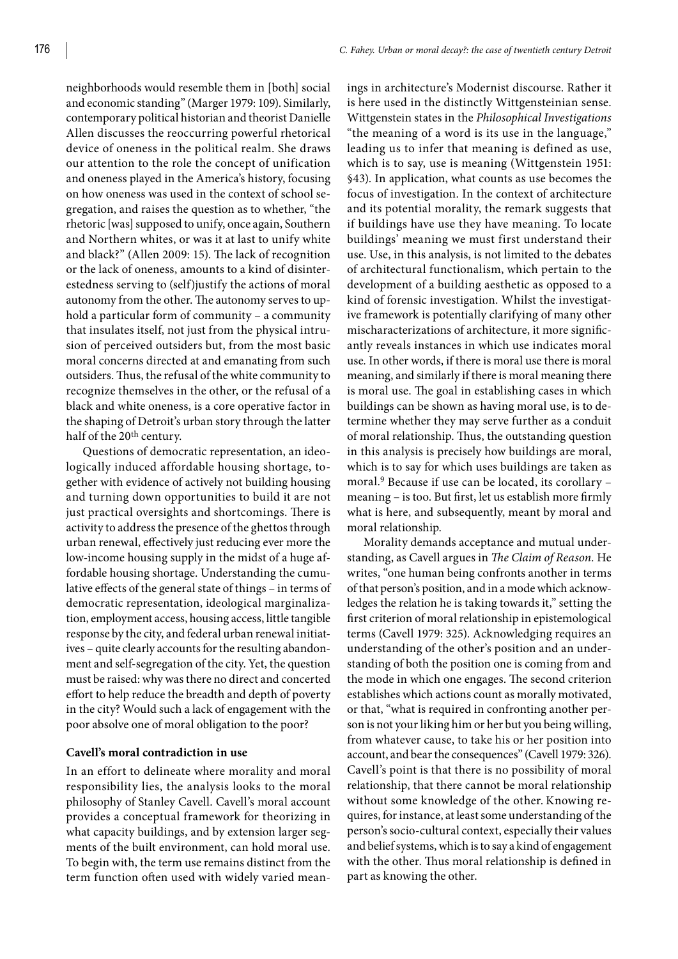neighborhoods would resemble them in [both] social and economic standing" (Marger 1979: 109). Similarly, contemporary political historian and theorist Danielle Allen discusses the reoccurring powerful rhetorical device of oneness in the political realm. She draws our attention to the role the concept of unification and oneness played in the America's history, focusing on how oneness was used in the context of school segregation, and raises the question as to whether, "the rhetoric [was] supposed to unify, once again, Southern and Northern whites, or was it at last to unify white and black?" (Allen 2009: 15). The lack of recognition or the lack of oneness, amounts to a kind of disinterestedness serving to (self)justify the actions of moral autonomy from the other. The autonomy serves to uphold a particular form of community – a community that insulates itself, not just from the physical intrusion of perceived outsiders but, from the most basic moral concerns directed at and emanating from such outsiders. Thus, the refusal of the white community to recognize themselves in the other, or the refusal of a black and white oneness, is a core operative factor in the shaping of Detroit's urban story through the latter half of the 20<sup>th</sup> century.

Questions of democratic representation, an ideologically induced affordable housing shortage, together with evidence of actively not building housing and turning down opportunities to build it are not just practical oversights and shortcomings. There is activity to address the presence of the ghettos through urban renewal, effectively just reducing ever more the low-income housing supply in the midst of a huge affordable housing shortage. Understanding the cumulative effects of the general state of things – in terms of democratic representation, ideological marginalization, employment access, housing access, little tangible response by the city, and federal urban renewal initiatives – quite clearly accounts for the resulting abandonment and self-segregation of the city. Yet, the question must be raised: why was there no direct and concerted effort to help reduce the breadth and depth of poverty in the city? Would such a lack of engagement with the poor absolve one of moral obligation to the poor?

#### **Cavell's moral contradiction in use**

In an effort to delineate where morality and moral responsibility lies, the analysis looks to the moral philosophy of Stanley Cavell. Cavell's moral account provides a conceptual framework for theorizing in what capacity buildings, and by extension larger segments of the built environment, can hold moral use. To begin with, the term use remains distinct from the term function often used with widely varied meanings in architecture's Modernist discourse. Rather it is here used in the distinctly Wittgensteinian sense. Wittgenstein states in the *Philosophical Investigations* "the meaning of a word is its use in the language," leading us to infer that meaning is defined as use, which is to say, use is meaning (Wittgenstein 1951: §43). In application, what counts as use becomes the focus of investigation. In the context of architecture and its potential morality, the remark suggests that if buildings have use they have meaning. To locate buildings' meaning we must first understand their use. Use, in this analysis, is not limited to the debates of architectural functionalism, which pertain to the development of a building aesthetic as opposed to a kind of forensic investigation. Whilst the investigative framework is potentially clarifying of many other mischaracterizations of architecture, it more significantly reveals instances in which use indicates moral use*.* In other words, if there is moral use there is moral meaning, and similarly if there is moral meaning there is moral use. The goal in establishing cases in which buildings can be shown as having moral use, is to determine whether they may serve further as a conduit of moral relationship. Thus, the outstanding question in this analysis is precisely how buildings are moral, which is to say for which uses buildings are taken as moral.9 Because if use can be located, its corollary – meaning – is too. But first, let us establish more firmly what is here, and subsequently, meant by moral and moral relationship.

Morality demands acceptance and mutual understanding, as Cavell argues in *The Claim of Reason.* He writes, "one human being confronts another in terms of that person's position, and in a mode which acknowledges the relation he is taking towards it," setting the first criterion of moral relationship in epistemological terms (Cavell 1979: 325). Acknowledging requires an understanding of the other's position and an understanding of both the position one is coming from and the mode in which one engages. The second criterion establishes which actions count as morally motivated, or that, "what is required in confronting another person is not your liking him or her but you being willing, from whatever cause, to take his or her position into account, and bear the consequences" (Cavell 1979: 326). Cavell's point is that there is no possibility of moral relationship, that there cannot be moral relationship without some knowledge of the other. Knowing requires, for instance, at least some understanding of the person's socio-cultural context, especially their values and belief systems, which is to say a kind of engagement with the other. Thus moral relationship is defined in part as knowing the other.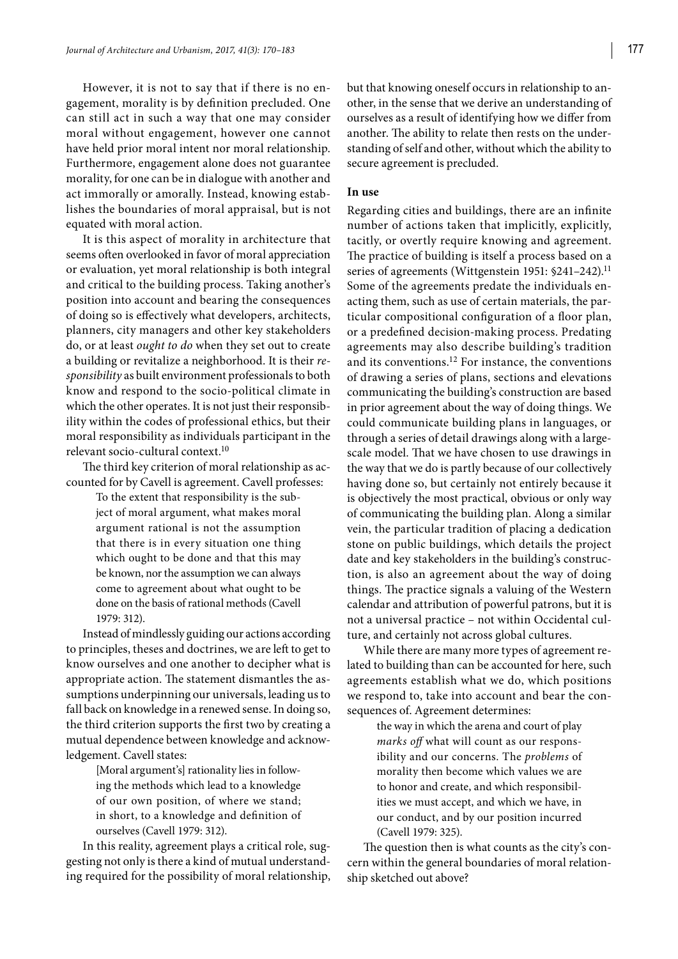However, it is not to say that if there is no engagement, morality is by definition precluded. One can still act in such a way that one may consider moral without engagement, however one cannot have held prior moral intent nor moral relationship. Furthermore, engagement alone does not guarantee morality, for one can be in dialogue with another and act immorally or amorally. Instead, knowing establishes the boundaries of moral appraisal, but is not equated with moral action.

It is this aspect of morality in architecture that seems often overlooked in favor of moral appreciation or evaluation, yet moral relationship is both integral and critical to the building process. Taking another's position into account and bearing the consequences of doing so is effectively what developers, architects, planners, city managers and other key stakeholders do, or at least *ought to do* when they set out to create a building or revitalize a neighborhood. It is their *responsibility* as built environment professionals to both know and respond to the socio-political climate in which the other operates. It is not just their responsibility within the codes of professional ethics, but their moral responsibility as individuals participant in the relevant socio-cultural context.10

The third key criterion of moral relationship as accounted for by Cavell is agreement. Cavell professes:

> To the extent that responsibility is the subject of moral argument, what makes moral argument rational is not the assumption that there is in every situation one thing which ought to be done and that this may be known, nor the assumption we can always come to agreement about what ought to be done on the basis of rational methods (Cavell 1979: 312).

Instead of mindlessly guiding our actions according to principles, theses and doctrines, we are left to get to know ourselves and one another to decipher what is appropriate action. The statement dismantles the assumptions underpinning our universals, leading us to fall back on knowledge in a renewed sense. In doing so, the third criterion supports the first two by creating a mutual dependence between knowledge and acknowledgement. Cavell states:

> [Moral argument's] rationality lies in following the methods which lead to a knowledge of our own position, of where we stand; in short, to a knowledge and definition of ourselves (Cavell 1979: 312).

In this reality, agreement plays a critical role, suggesting not only is there a kind of mutual understanding required for the possibility of moral relationship,

but that knowing oneself occurs in relationship to another, in the sense that we derive an understanding of ourselves as a result of identifying how we differ from another. The ability to relate then rests on the understanding of self and other, without which the ability to secure agreement is precluded.

## **In use**

Regarding cities and buildings, there are an infinite number of actions taken that implicitly, explicitly, tacitly, or overtly require knowing and agreement. The practice of building is itself a process based on a series of agreements (Wittgenstein 1951: §241–242).<sup>11</sup> Some of the agreements predate the individuals enacting them, such as use of certain materials, the particular compositional configuration of a floor plan, or a predefined decision-making process. Predating agreements may also describe building's tradition and its conventions.12 For instance, the conventions of drawing a series of plans, sections and elevations communicating the building's construction are based in prior agreement about the way of doing things. We could communicate building plans in languages, or through a series of detail drawings along with a largescale model. That we have chosen to use drawings in the way that we do is partly because of our collectively having done so, but certainly not entirely because it is objectively the most practical, obvious or only way of communicating the building plan. Along a similar vein, the particular tradition of placing a dedication stone on public buildings, which details the project date and key stakeholders in the building's construction, is also an agreement about the way of doing things. The practice signals a valuing of the Western calendar and attribution of powerful patrons, but it is not a universal practice – not within Occidental culture, and certainly not across global cultures.

While there are many more types of agreement related to building than can be accounted for here, such agreements establish what we do, which positions we respond to, take into account and bear the consequences of. Agreement determines:

> the way in which the arena and court of play *marks off* what will count as our responsibility and our concerns. The *problems* of morality then become which values we are to honor and create, and which responsibilities we must accept, and which we have, in our conduct, and by our position incurred (Cavell 1979: 325).

The question then is what counts as the city's concern within the general boundaries of moral relationship sketched out above?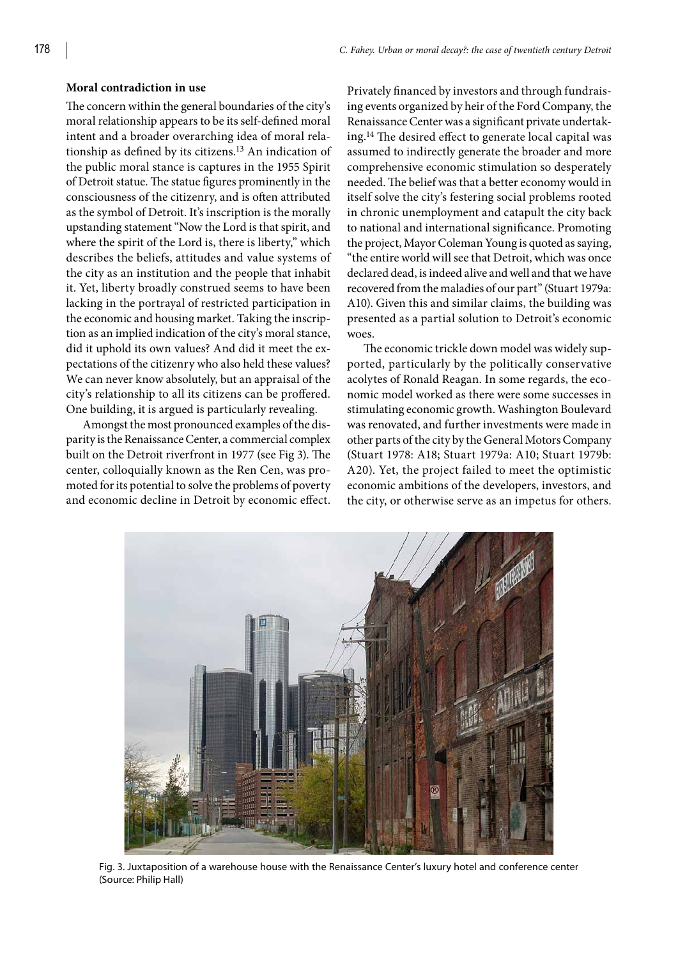The concern within the general boundaries of the city's moral relationship appears to be its self-defined moral intent and a broader overarching idea of moral relationship as defined by its citizens.13 An indication of the public moral stance is captures in the 1955 Spirit of Detroit statue. The statue figures prominently in the consciousness of the citizenry, and is often attributed as the symbol of Detroit. It's inscription is the morally upstanding statement "Now the Lord is that spirit, and where the spirit of the Lord is, there is liberty," which describes the beliefs, attitudes and value systems of the city as an institution and the people that inhabit it. Yet, liberty broadly construed seems to have been lacking in the portrayal of restricted participation in the economic and housing market. Taking the inscription as an implied indication of the city's moral stance, did it uphold its own values? And did it meet the expectations of the citizenry who also held these values? We can never know absolutely, but an appraisal of the city's relationship to all its citizens can be proffered. One building, it is argued is particularly revealing.

Amongst the most pronounced examples of the disparity is the Renaissance Center, a commercial complex built on the Detroit riverfront in 1977 (see Fig 3). The center, colloquially known as the Ren Cen, was promoted for its potential to solve the problems of poverty and economic decline in Detroit by economic effect. Privately financed by investors and through fundraising events organized by heir of the Ford Company, the Renaissance Center was a significant private undertaking.14 The desired effect to generate local capital was assumed to indirectly generate the broader and more comprehensive economic stimulation so desperately needed. The belief was that a better economy would in itself solve the city's festering social problems rooted in chronic unemployment and catapult the city back to national and international significance. Promoting the project, Mayor Coleman Young is quoted as saying, "the entire world will see that Detroit, which was once declared dead, is indeed alive and well and that we have recovered from the maladies of our part" (Stuart 1979a: A10). Given this and similar claims, the building was presented as a partial solution to Detroit's economic woes.

The economic trickle down model was widely supported, particularly by the politically conservative acolytes of Ronald Reagan. In some regards, the economic model worked as there were some successes in stimulating economic growth. Washington Boulevard was renovated, and further investments were made in other parts of the city by the General Motors Company (Stuart 1978: A18; Stuart 1979a: A10; Stuart 1979b: A20). Yet, the project failed to meet the optimistic economic ambitions of the developers, investors, and the city, or otherwise serve as an impetus for others.



Fig. 3. Juxtaposition of a warehouse house with the Renaissance Center's luxury hotel and conference center (Source: Philip Hall)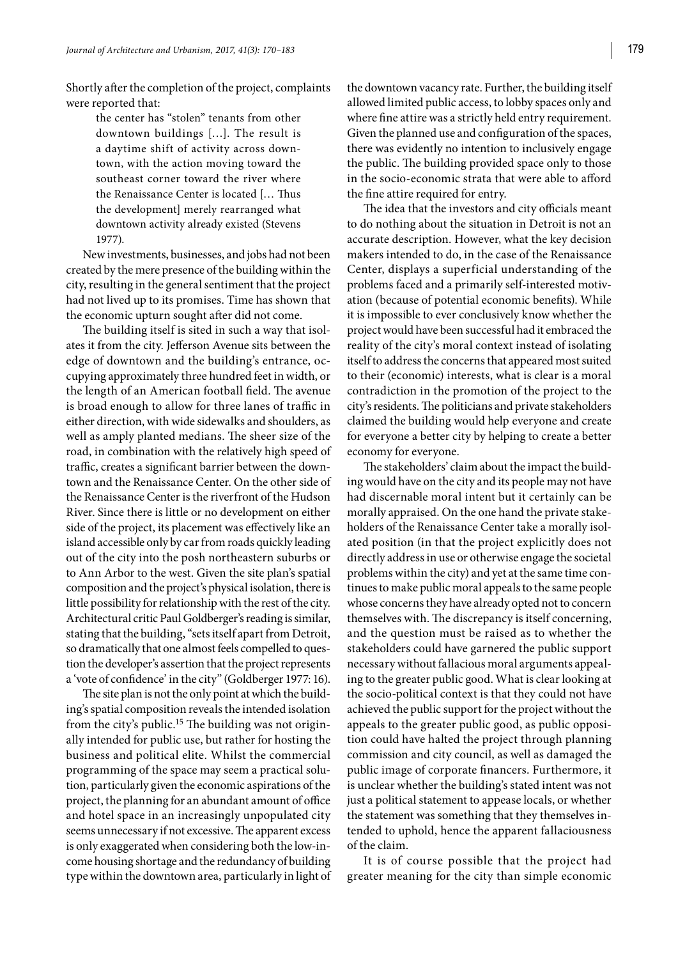Shortly after the completion of the project, complaints were reported that:

> the center has "stolen" tenants from other downtown buildings […]. The result is a daytime shift of activity across downtown, with the action moving toward the southeast corner toward the river where the Renaissance Center is located [… Thus the development] merely rearranged what downtown activity already existed (Stevens 1977).

New investments, businesses, and jobs had not been created by the mere presence of the building within the city, resulting in the general sentiment that the project had not lived up to its promises. Time has shown that the economic upturn sought after did not come.

The building itself is sited in such a way that isolates it from the city. Jefferson Avenue sits between the edge of downtown and the building's entrance, occupying approximately three hundred feet in width, or the length of an American football field. The avenue is broad enough to allow for three lanes of traffic in either direction, with wide sidewalks and shoulders, as well as amply planted medians. The sheer size of the road, in combination with the relatively high speed of traffic, creates a significant barrier between the downtown and the Renaissance Center. On the other side of the Renaissance Center is the riverfront of the Hudson River. Since there is little or no development on either side of the project, its placement was effectively like an island accessible only by car from roads quickly leading out of the city into the posh northeastern suburbs or to Ann Arbor to the west. Given the site plan's spatial composition and the project's physical isolation, there is little possibility for relationship with the rest of the city. Architectural critic Paul Goldberger's reading is similar, stating that the building, "sets itself apart from Detroit, so dramatically that one almost feels compelled to question the developer's assertion that the project represents a 'vote of confidence' in the city" (Goldberger 1977: 16).

The site plan is not the only point at which the building's spatial composition reveals the intended isolation from the city's public.<sup>15</sup> The building was not originally intended for public use, but rather for hosting the business and political elite. Whilst the commercial programming of the space may seem a practical solution, particularly given the economic aspirations of the project, the planning for an abundant amount of office and hotel space in an increasingly unpopulated city seems unnecessary if not excessive. The apparent excess is only exaggerated when considering both the low-income housing shortage and the redundancy of building type within the downtown area, particularly in light of the downtown vacancy rate. Further, the building itself allowed limited public access, to lobby spaces only and where fine attire was a strictly held entry requirement. Given the planned use and configuration of the spaces, there was evidently no intention to inclusively engage the public. The building provided space only to those in the socio-economic strata that were able to afford the fine attire required for entry.

The idea that the investors and city officials meant to do nothing about the situation in Detroit is not an accurate description. However, what the key decision makers intended to do, in the case of the Renaissance Center, displays a superficial understanding of the problems faced and a primarily self-interested motivation (because of potential economic benefits). While it is impossible to ever conclusively know whether the project would have been successful had it embraced the reality of the city's moral context instead of isolating itself to address the concerns that appeared most suited to their (economic) interests, what is clear is a moral contradiction in the promotion of the project to the city's residents. The politicians and private stakeholders claimed the building would help everyone and create for everyone a better city by helping to create a better economy for everyone.

The stakeholders' claim about the impact the building would have on the city and its people may not have had discernable moral intent but it certainly can be morally appraised. On the one hand the private stakeholders of the Renaissance Center take a morally isolated position (in that the project explicitly does not directly address in use or otherwise engage the societal problems within the city) and yet at the same time continues to make public moral appeals to the same people whose concerns they have already opted not to concern themselves with. The discrepancy is itself concerning, and the question must be raised as to whether the stakeholders could have garnered the public support necessary without fallacious moral arguments appealing to the greater public good. What is clear looking at the socio-political context is that they could not have achieved the public support for the project without the appeals to the greater public good, as public opposition could have halted the project through planning commission and city council, as well as damaged the public image of corporate financers. Furthermore, it is unclear whether the building's stated intent was not just a political statement to appease locals, or whether the statement was something that they themselves intended to uphold, hence the apparent fallaciousness of the claim.

It is of course possible that the project had greater meaning for the city than simple economic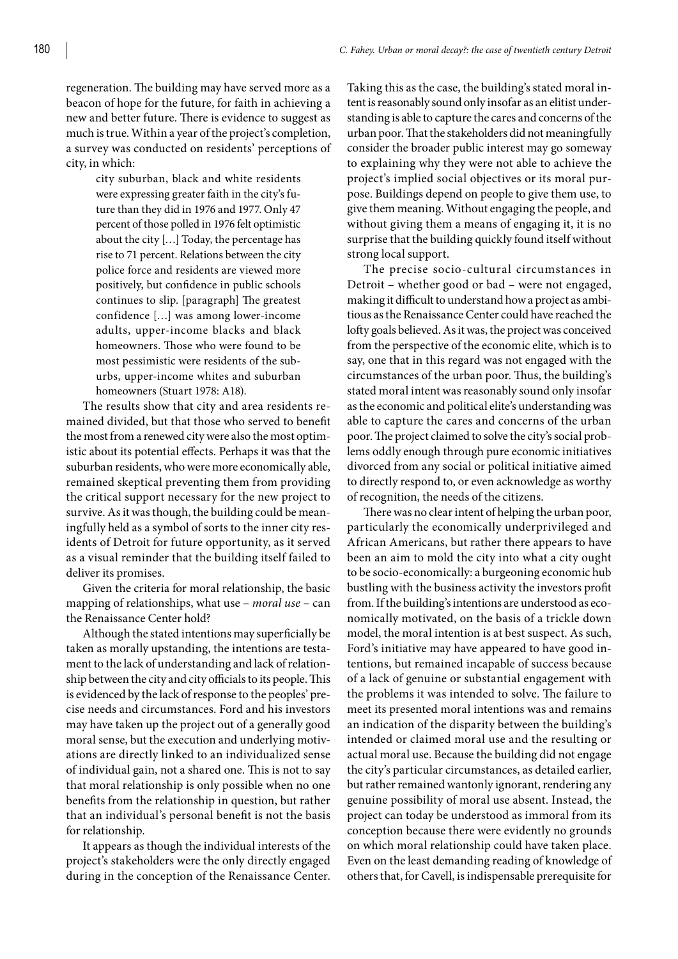regeneration. The building may have served more as a beacon of hope for the future, for faith in achieving a new and better future. There is evidence to suggest as much is true. Within a year of the project's completion, a survey was conducted on residents' perceptions of city, in which:

> city suburban, black and white residents were expressing greater faith in the city's future than they did in 1976 and 1977. Only 47 percent of those polled in 1976 felt optimistic about the city […] Today, the percentage has rise to 71 percent. Relations between the city police force and residents are viewed more positively, but confidence in public schools continues to slip. [paragraph] The greatest confidence […] was among lower-income adults, upper-income blacks and black homeowners. Those who were found to be most pessimistic were residents of the suburbs, upper-income whites and suburban homeowners (Stuart 1978: A18).

The results show that city and area residents remained divided, but that those who served to benefit the most from a renewed city were also the most optimistic about its potential effects. Perhaps it was that the suburban residents, who were more economically able, remained skeptical preventing them from providing the critical support necessary for the new project to survive. As it was though, the building could be meaningfully held as a symbol of sorts to the inner city residents of Detroit for future opportunity, as it served as a visual reminder that the building itself failed to deliver its promises.

Given the criteria for moral relationship, the basic mapping of relationships, what use – *moral use* – can the Renaissance Center hold?

Although the stated intentions may superficially be taken as morally upstanding, the intentions are testament to the lack of understanding and lack of relationship between the city and city officials to its people. This is evidenced by the lack of response to the peoples' precise needs and circumstances. Ford and his investors may have taken up the project out of a generally good moral sense, but the execution and underlying motivations are directly linked to an individualized sense of individual gain, not a shared one. This is not to say that moral relationship is only possible when no one benefits from the relationship in question, but rather that an individual's personal benefit is not the basis for relationship.

It appears as though the individual interests of the project's stakeholders were the only directly engaged during in the conception of the Renaissance Center.

Taking this as the case, the building's stated moral intent is reasonably sound only insofar as an elitist understanding is able to capture the cares and concerns of the urban poor. That the stakeholders did not meaningfully consider the broader public interest may go someway to explaining why they were not able to achieve the project's implied social objectives or its moral purpose. Buildings depend on people to give them use, to give them meaning. Without engaging the people, and without giving them a means of engaging it, it is no surprise that the building quickly found itself without strong local support.

The precise socio-cultural circumstances in Detroit – whether good or bad – were not engaged, making it difficult to understand how a project as ambitious as the Renaissance Center could have reached the lofty goals believed. As it was, the project was conceived from the perspective of the economic elite, which is to say, one that in this regard was not engaged with the circumstances of the urban poor. Thus, the building's stated moral intent was reasonably sound only insofar as the economic and political elite's understanding was able to capture the cares and concerns of the urban poor. The project claimed to solve the city's social problems oddly enough through pure economic initiatives divorced from any social or political initiative aimed to directly respond to, or even acknowledge as worthy of recognition, the needs of the citizens.

There was no clear intent of helping the urban poor, particularly the economically underprivileged and African Americans, but rather there appears to have been an aim to mold the city into what a city ought to be socio-economically: a burgeoning economic hub bustling with the business activity the investors profit from. If the building's intentions are understood as economically motivated, on the basis of a trickle down model, the moral intention is at best suspect. As such, Ford's initiative may have appeared to have good intentions, but remained incapable of success because of a lack of genuine or substantial engagement with the problems it was intended to solve. The failure to meet its presented moral intentions was and remains an indication of the disparity between the building's intended or claimed moral use and the resulting or actual moral use. Because the building did not engage the city's particular circumstances, as detailed earlier, but rather remained wantonly ignorant, rendering any genuine possibility of moral use absent. Instead, the project can today be understood as immoral from its conception because there were evidently no grounds on which moral relationship could have taken place. Even on the least demanding reading of knowledge of others that, for Cavell, is indispensable prerequisite for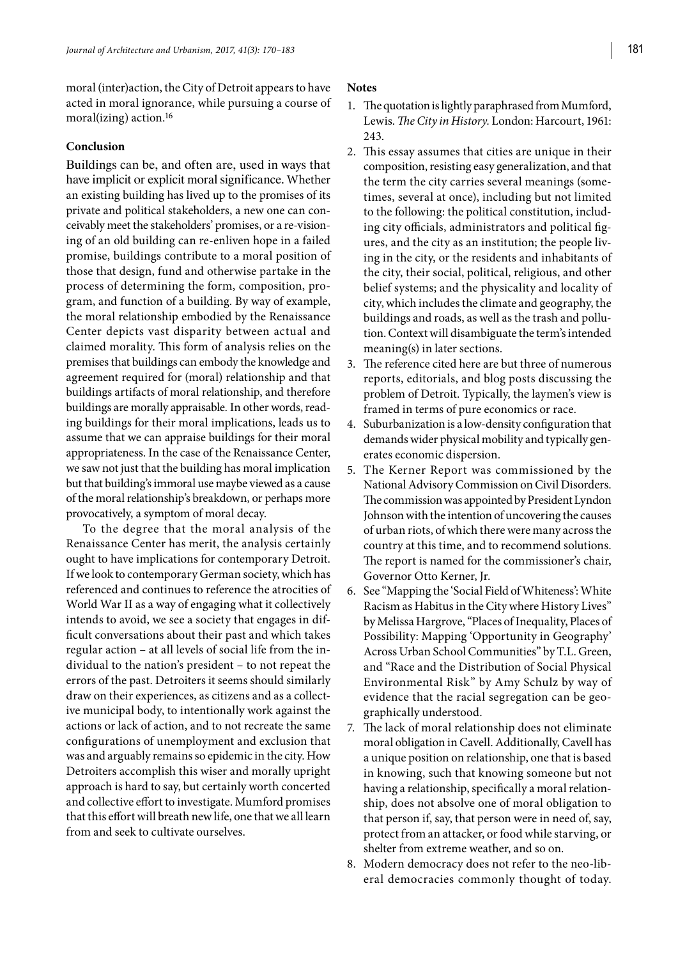moral (inter)action, the City of Detroit appears to have acted in moral ignorance, while pursuing a course of moral(izing) action.16

## **Conclusion**

Buildings can be, and often are, used in ways that have implicit or explicit moral significance. Whether an existing building has lived up to the promises of its private and political stakeholders, a new one can conceivably meet the stakeholders' promises, or a re-visioning of an old building can re-enliven hope in a failed promise, buildings contribute to a moral position of those that design, fund and otherwise partake in the process of determining the form, composition, program, and function of a building. By way of example, the moral relationship embodied by the Renaissance Center depicts vast disparity between actual and claimed morality. This form of analysis relies on the premises that buildings can embody the knowledge and agreement required for (moral) relationship and that buildings artifacts of moral relationship, and therefore buildings are morally appraisable*.* In other words, reading buildings for their moral implications, leads us to assume that we can appraise buildings for their moral appropriateness. In the case of the Renaissance Center, we saw not just that the building has moral implication but that building's immoral use maybe viewed as a cause of the moral relationship's breakdown, or perhaps more provocatively, a symptom of moral decay.

To the degree that the moral analysis of the Renaissance Center has merit, the analysis certainly ought to have implications for contemporary Detroit. If we look to contemporary German society, which has referenced and continues to reference the atrocities of World War II as a way of engaging what it collectively intends to avoid, we see a society that engages in difficult conversations about their past and which takes regular action – at all levels of social life from the individual to the nation's president – to not repeat the errors of the past. Detroiters it seems should similarly draw on their experiences, as citizens and as a collective municipal body, to intentionally work against the actions or lack of action, and to not recreate the same configurations of unemployment and exclusion that was and arguably remains so epidemic in the city. How Detroiters accomplish this wiser and morally upright approach is hard to say, but certainly worth concerted and collective effort to investigate. Mumford promises that this effort will breath new life, one that we all learn from and seek to cultivate ourselves.

## **Notes**

- 1. The quotation is lightly paraphrased from Mumford, Lewis. *The City in History.* London: Harcourt, 1961: 243.
- 2. This essay assumes that cities are unique in their composition, resisting easy generalization, and that the term the city carries several meanings (sometimes, several at once), including but not limited to the following: the political constitution, including city officials, administrators and political figures, and the city as an institution; the people living in the city, or the residents and inhabitants of the city, their social, political, religious, and other belief systems; and the physicality and locality of city, which includes the climate and geography, the buildings and roads, as well as the trash and pollution. Context will disambiguate the term's intended meaning(s) in later sections.
- 3. The reference cited here are but three of numerous reports, editorials, and blog posts discussing the problem of Detroit. Typically, the laymen's view is framed in terms of pure economics or race.
- 4. Suburbanization is a low-density configuration that demands wider physical mobility and typically generates economic dispersion.
- 5. The Kerner Report was commissioned by the National Advisory Commission on Civil Disorders. The commission was appointed by President Lyndon Johnson with the intention of uncovering the causes of urban riots, of which there were many across the country at this time, and to recommend solutions. The report is named for the commissioner's chair, Governor Otto Kerner, Jr.
- 6. See "Mapping the 'Social Field of Whiteness': White Racism as Habitus in the City where History Lives" by Melissa Hargrove, "Places of Inequality, Places of Possibility: Mapping 'Opportunity in Geography' Across Urban School Communities" by T.L. Green, and "Race and the Distribution of Social Physical Environmental Risk" by Amy Schulz by way of evidence that the racial segregation can be geographically understood.
- 7. The lack of moral relationship does not eliminate moral obligation in Cavell. Additionally, Cavell has a unique position on relationship, one that is based in knowing, such that knowing someone but not having a relationship, specifically a moral relationship, does not absolve one of moral obligation to that person if, say, that person were in need of, say, protect from an attacker, or food while starving, or shelter from extreme weather, and so on.
- 8. Modern democracy does not refer to the neo-liberal democracies commonly thought of today.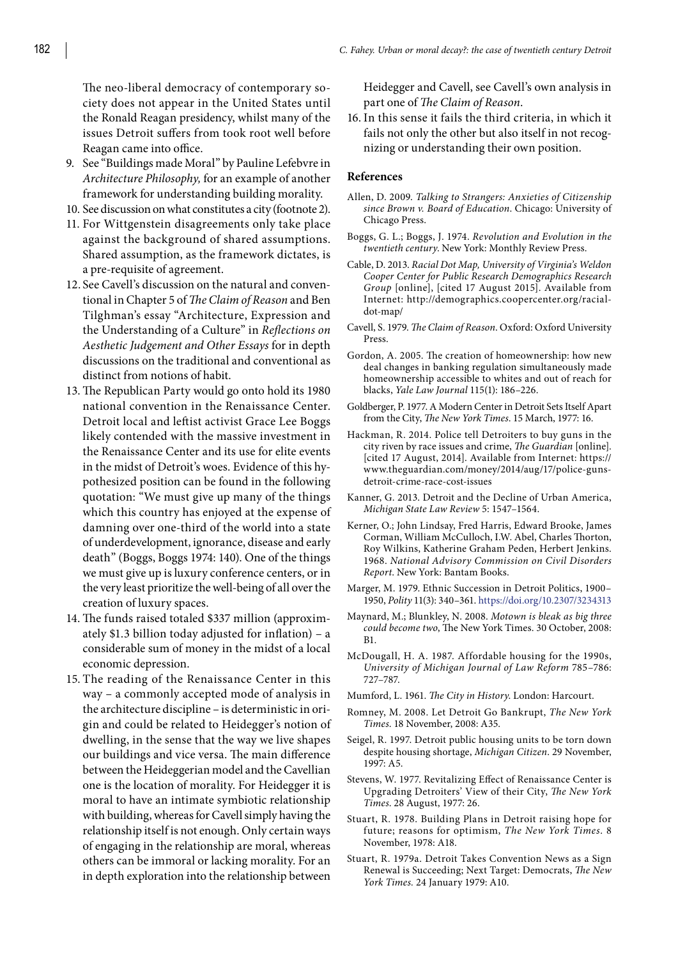The neo-liberal democracy of contemporary society does not appear in the United States until the Ronald Reagan presidency, whilst many of the issues Detroit suffers from took root well before Reagan came into office.

- 9. See "Buildings made Moral" by Pauline Lefebvre in *Architecture Philosophy,* for an example of another framework for understanding building morality.
- 10. See discussion on what constitutes a city (footnote 2).
- 11. For Wittgenstein disagreements only take place against the background of shared assumptions. Shared assumption, as the framework dictates, is a pre-requisite of agreement.
- 12. See Cavell's discussion on the natural and conventional in Chapter 5 of *The Claim of Reason* and Ben Tilghman's essay "Architecture, Expression and the Understanding of a Culture" in *Reflections on Aesthetic Judgement and Other Essays* for in depth discussions on the traditional and conventional as distinct from notions of habit.
- 13. The Republican Party would go onto hold its 1980 national convention in the Renaissance Center. Detroit local and leftist activist Grace Lee Boggs likely contended with the massive investment in the Renaissance Center and its use for elite events in the midst of Detroit's woes. Evidence of this hypothesized position can be found in the following quotation: "We must give up many of the things which this country has enjoyed at the expense of damning over one-third of the world into a state of underdevelopment, ignorance, disease and early death" (Boggs, Boggs 1974: 140). One of the things we must give up is luxury conference centers, or in the very least prioritize the well-being of all over the creation of luxury spaces.
- 14. The funds raised totaled \$337 million (approximately \$1.3 billion today adjusted for inflation) – a considerable sum of money in the midst of a local economic depression.
- 15. The reading of the Renaissance Center in this way – a commonly accepted mode of analysis in the architecture discipline – is deterministic in origin and could be related to Heidegger's notion of dwelling, in the sense that the way we live shapes our buildings and vice versa. The main difference between the Heideggerian model and the Cavellian one is the location of morality. For Heidegger it is moral to have an intimate symbiotic relationship with building, whereas for Cavell simply having the relationship itself is not enough. Only certain ways of engaging in the relationship are moral, whereas others can be immoral or lacking morality. For an in depth exploration into the relationship between

Heidegger and Cavell, see Cavell's own analysis in part one of *The Claim of Reason*.

16. In this sense it fails the third criteria, in which it fails not only the other but also itself in not recognizing or understanding their own position.

## **References**

- Allen, D. 2009. *Talking to Strangers: Anxieties of Citizenship since Brown v. Board of Education*. Chicago: University of Chicago Press.
- Boggs, G. L.; Boggs, J. 1974. *Revolution and Evolution in the twentieth century*. New York: Monthly Review Press.
- Cable, D. 2013. *Racial Dot Map, University of Virginia's Weldon Cooper Center for Public Research Demographics Research Group* [online], [cited 17 August 2015]. Available from Internet: http://demographics.coopercenter.org/racialdot-map/
- Cavell, S. 1979. *The Claim of Reason*. Oxford: Oxford University Press.
- Gordon, A. 2005. The creation of homeownership: how new deal changes in banking regulation simultaneously made homeownership accessible to whites and out of reach for blacks, *Yale Law Journal* 115(1): 186–226.
- Goldberger, P. 1977. A Modern Center in Detroit Sets Itself Apart from the City, *The New York Times*. 15 March, 1977: 16.
- Hackman, R. 2014. Police tell Detroiters to buy guns in the city riven by race issues and crime, *The Guardian* [online]. [cited 17 August, 2014]. Available from Internet: https:// www.theguardian.com/money/2014/aug/17/police-gunsdetroit-crime-race-cost-issues
- Kanner, G. 2013. Detroit and the Decline of Urban America, *Michigan State Law Review* 5: 1547–1564.
- Kerner, O.; John Lindsay, Fred Harris, Edward Brooke, James Corman, William McCulloch, I.W. Abel, Charles Thorton, Roy Wilkins, Katherine Graham Peden, Herbert Jenkins. 1968. *National Advisory Commission on Civil Disorders Report*. New York: Bantam Books.
- Marger, M. 1979. Ethnic Succession in Detroit Politics, 1900– 1950, *Polity* 11(3): 340–361.<https://doi.org/10.2307/3234313>
- Maynard, M.; Blunkley, N. 2008. *Motown is bleak as big three could become two*, The New York Times. 30 October, 2008: B1.
- McDougall, H. A. 1987. Affordable housing for the 1990s, *University of Michigan Journal of Law Reform* 785–786: 727–787.
- Mumford, L. 1961. *The City in History*. London: Harcourt.
- Romney, M. 2008. Let Detroit Go Bankrupt, *The New York Times*. 18 November, 2008: A35.
- Seigel, R. 1997. Detroit public housing units to be torn down despite housing shortage, *Michigan Citizen*. 29 November, 1997: A5.
- Stevens, W. 1977. Revitalizing Effect of Renaissance Center is Upgrading Detroiters' View of their City, *The New York Times*. 28 August, 1977: 26.
- Stuart, R. 1978. Building Plans in Detroit raising hope for future; reasons for optimism, *The New York Times*. 8 November, 1978: A18.
- Stuart, R. 1979a. Detroit Takes Convention News as a Sign Renewal is Succeeding; Next Target: Democrats, *The New York Times.* 24 January 1979: A10.